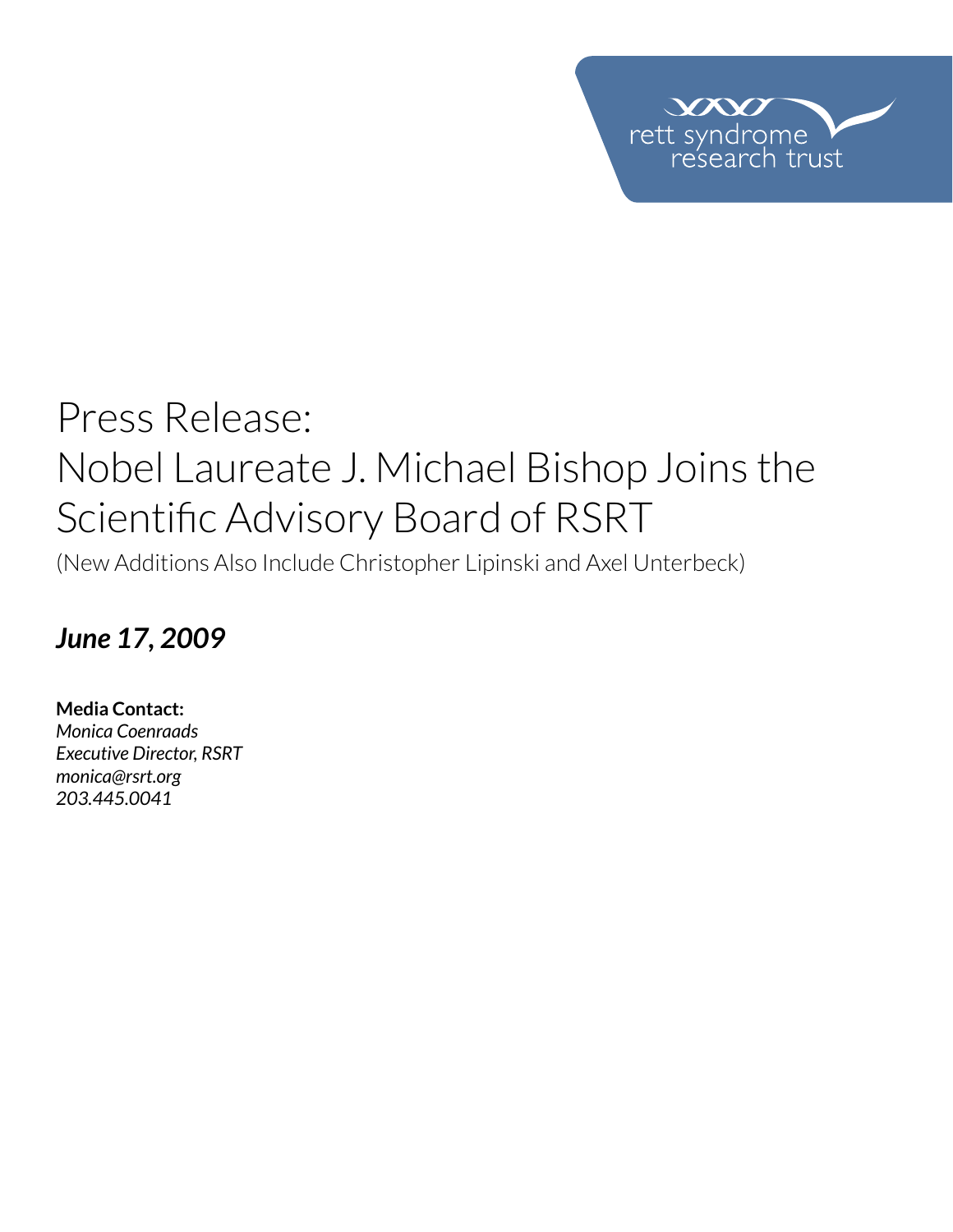

# Press Release: Nobel Laureate J. Michael Bishop Joins the Scientific Advisory Board of RSRT

(New Additions Also Include Christopher Lipinski and Axel Unterbeck)

### *June 17, 2009*

**Media Contact:**  *Monica Coenraads Executive Director, RSRT [monica@rsrt.org](mailto:monica%40rsrt.org?subject=Press%20Release%20%7C%20CSO%20Announce) 203.445.0041*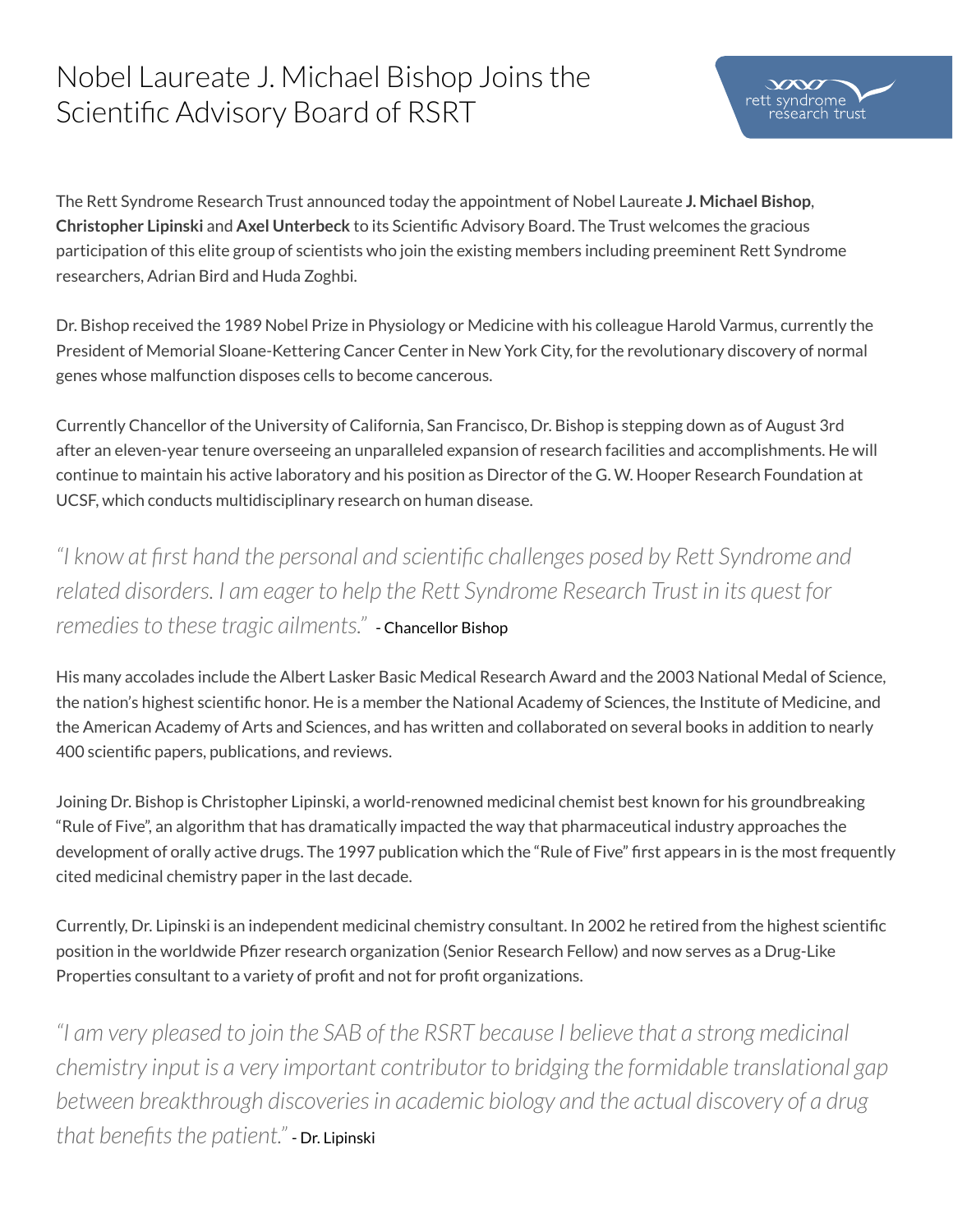## Nobel Laureate J. Michael Bishop Joins the Scientific Advisory Board of RSRT

The Rett Syndrome Research Trust announced today the appointment of Nobel Laureate **J. Michael Bishop**, **Christopher Lipinski** and **Axel Unterbeck** to its Scientific Advisory Board. The Trust welcomes the gracious participation of this elite group of scientists who join the existing members including preeminent Rett Syndrome researchers, Adrian Bird and Huda Zoghbi.

Dr. Bishop received the 1989 Nobel Prize in Physiology or Medicine with his colleague Harold Varmus, currently the President of Memorial Sloane-Kettering Cancer Center in New York City, for the revolutionary discovery of normal genes whose malfunction disposes cells to become cancerous.

Currently Chancellor of the University of California, San Francisco, Dr. Bishop is stepping down as of August 3rd after an eleven-year tenure overseeing an unparalleled expansion of research facilities and accomplishments. He will continue to maintain his active laboratory and his position as Director of the G. W. Hooper Research Foundation at UCSF, which conducts multidisciplinary research on human disease.

*"I know at first hand the personal and scientific challenges posed by Rett Syndrome and related disorders. I am eager to help the Rett Syndrome Research Trust in its quest for remedies to these tragic ailments."* - Chancellor Bishop

His many accolades include the Albert Lasker Basic Medical Research Award and the 2003 National Medal of Science, the nation's highest scientific honor. He is a member the National Academy of Sciences, the Institute of Medicine, and the American Academy of Arts and Sciences, and has written and collaborated on several books in addition to nearly 400 scientific papers, publications, and reviews.

Joining Dr. Bishop is Christopher Lipinski, a world-renowned medicinal chemist best known for his groundbreaking "Rule of Five", an algorithm that has dramatically impacted the way that pharmaceutical industry approaches the development of orally active drugs. The 1997 publication which the "Rule of Five" first appears in is the most frequently cited medicinal chemistry paper in the last decade.

Currently, Dr. Lipinski is an independent medicinal chemistry consultant. In 2002 he retired from the highest scientific position in the worldwide Pfizer research organization (Senior Research Fellow) and now serves as a Drug-Like Properties consultant to a variety of profit and not for profit organizations.

*"I am very pleased to join the SAB of the RSRT because I believe that a strong medicinal chemistry input is a very important contributor to bridging the formidable translational gap between breakthrough discoveries in academic biology and the actual discovery of a drug that benefits the patient."* - Dr. Lipinski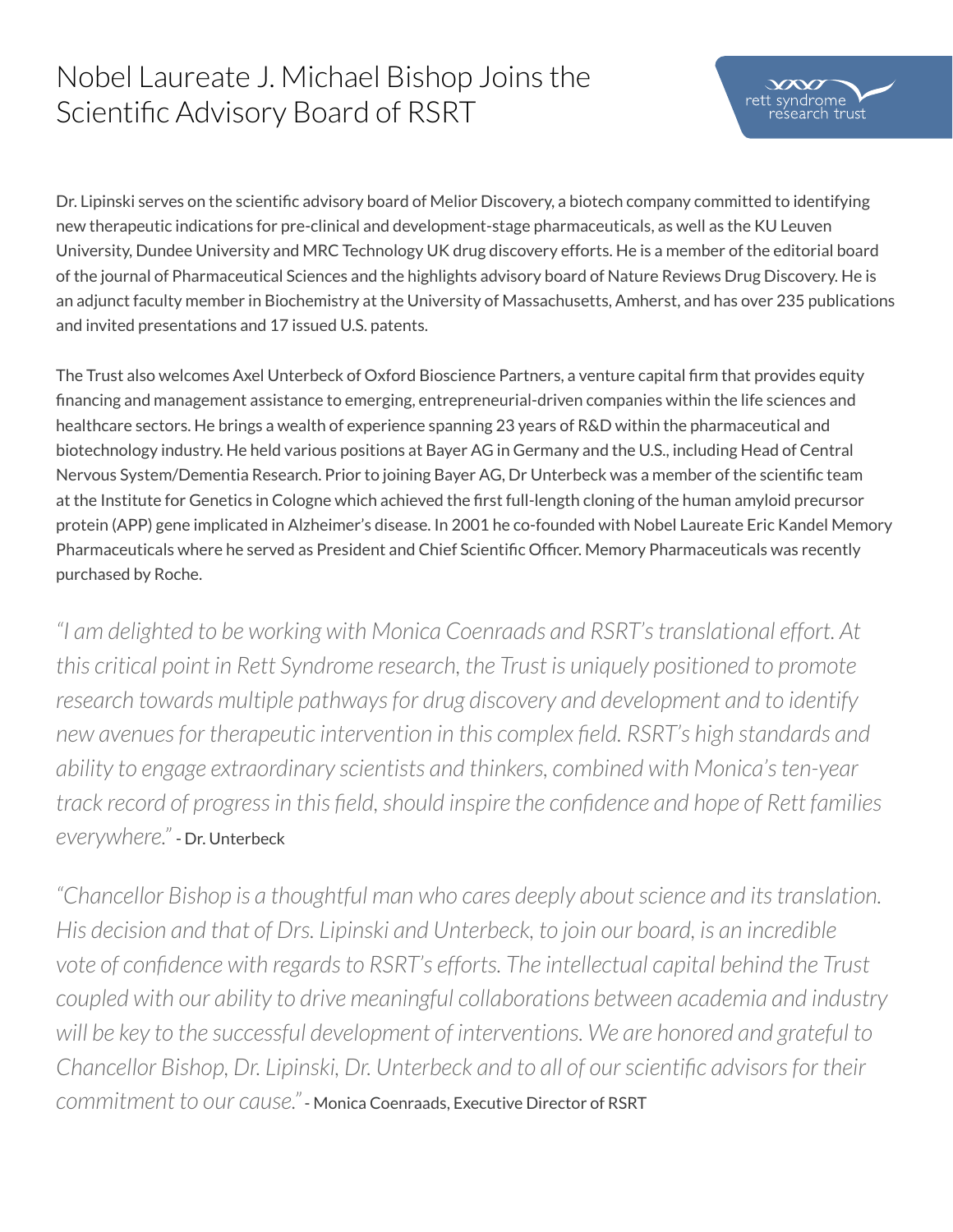## Nobel Laureate J. Michael Bishop Joins the Scientific Advisory Board of RSRT



Dr. Lipinski serves on the scientific advisory board of Melior Discovery, a biotech company committed to identifying new therapeutic indications for pre-clinical and development-stage pharmaceuticals, as well as the KU Leuven University, Dundee University and MRC Technology UK drug discovery efforts. He is a member of the editorial board of the journal of Pharmaceutical Sciences and the highlights advisory board of Nature Reviews Drug Discovery. He is an adjunct faculty member in Biochemistry at the University of Massachusetts, Amherst, and has over 235 publications and invited presentations and 17 issued U.S. patents.

The Trust also welcomes Axel Unterbeck of Oxford Bioscience Partners, a venture capital firm that provides equity financing and management assistance to emerging, entrepreneurial-driven companies within the life sciences and healthcare sectors. He brings a wealth of experience spanning 23 years of R&D within the pharmaceutical and biotechnology industry. He held various positions at Bayer AG in Germany and the U.S., including Head of Central Nervous System/Dementia Research. Prior to joining Bayer AG, Dr Unterbeck was a member of the scientific team at the Institute for Genetics in Cologne which achieved the first full-length cloning of the human amyloid precursor protein (APP) gene implicated in Alzheimer's disease. In 2001 he co-founded with Nobel Laureate Eric Kandel Memory Pharmaceuticals where he served as President and Chief Scientific Officer. Memory Pharmaceuticals was recently purchased by Roche.

*"I am delighted to be working with Monica Coenraads and RSRT's translational effort. At this critical point in Rett Syndrome research, the Trust is uniquely positioned to promote research towards multiple pathways for drug discovery and development and to identify new avenues for therapeutic intervention in this complex field. RSRT's high standards and ability to engage extraordinary scientists and thinkers, combined with Monica's ten-year track record of progress in this field, should inspire the confidence and hope of Rett families everywhere."* - Dr. Unterbeck

*"Chancellor Bishop is a thoughtful man who cares deeply about science and its translation. His decision and that of Drs. Lipinski and Unterbeck, to join our board, is an incredible vote of confidence with regards to RSRT's efforts. The intellectual capital behind the Trust coupled with our ability to drive meaningful collaborations between academia and industry will be key to the successful development of interventions. We are honored and grateful to Chancellor Bishop, Dr. Lipinski, Dr. Unterbeck and to all of our scientific advisors for their commitment to our cause."* - Monica Coenraads, Executive Director of RSRT